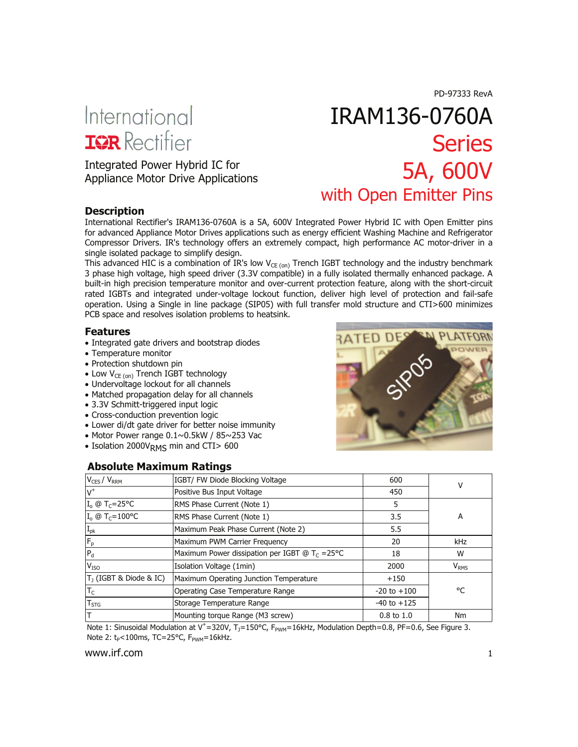PD-97333 RevA

# International **IGR** Rectifier

Appliance Motor Drive Applications

# IRAM136-0760A **Series** Integrated Power Hybrid IC for<br>
Annliance Motor Drive Annlications<br> **SA, 600V** with Open Emitter Pins

#### **Description**

International Rectifier's IRAM136-0760A is a 5A, 600V Integrated Power Hybrid IC with Open Emitter pins for advanced Appliance Motor Drives applications such as energy efficient Washing Machine and Refrigerator Compressor Drivers. IR's technology offers an extremely compact, high performance AC motor-driver in a single isolated package to simplify design.

This advanced HIC is a combination of IR's low  $V_{CE (on)}$  Trench IGBT technology and the industry benchmark 3 phase high voltage, high speed driver (3.3V compatible) in a fully isolated thermally enhanced package. A built-in high precision temperature monitor and over-current protection feature, along with the short-circuit rated IGBTs and integrated under-voltage lockout function, deliver high level of protection and fail-safe operation. Using a Single in line package (SIP05) with full transfer mold structure and CTI>600 minimizes PCB space and resolves isolation problems to heatsink.

#### **Features**

- Integrated gate drivers and bootstrap diodes
- Temperature monitor
- Protection shutdown pin
- Low V<sub>CE (on)</sub> Trench IGBT technology
- Undervoltage lockout for all channels
- Matched propagation delay for all channels
- 3.3V Schmitt-triggered input logic
- Cross-conduction prevention logic
- Lower di/dt gate driver for better noise immunity
- Motor Power range 0.1~0.5kW / 85~253 Vac
- Isolation 2000V<sub>RMS</sub> min and CTI> 600

#### **Absolute Maximum Ratings**



| $V_{CES} / V_{RRM}$                  | IGBT/ FW Diode Blocking Voltage                          | 600                   | ν                |
|--------------------------------------|----------------------------------------------------------|-----------------------|------------------|
| $V^+$                                | Positive Bus Input Voltage                               | 450                   |                  |
| $I_o \circledcirc T_C = 25^{\circ}C$ | RMS Phase Current (Note 1)                               | 5                     |                  |
| $I_0 \oplus T_C = 100^{\circ}C$      | RMS Phase Current (Note 1)                               | 3.5                   | A                |
| $I_{pk}$                             | Maximum Peak Phase Current (Note 2)                      | 5.5                   |                  |
| $ F_p$                               | Maximum PWM Carrier Frequency                            | 20                    | kHz              |
| $P_d$                                | Maximum Power dissipation per IGBT @ $T_c = 25^{\circ}C$ | 18                    | W                |
| V <sub>ISO</sub>                     | Isolation Voltage (1min)                                 | 2000                  | V <sub>RMS</sub> |
| $T1$ (IGBT & Diode & IC)             | Maximum Operating Junction Temperature                   | $+150$                |                  |
| $T_{\rm C}$                          | Operating Case Temperature Range                         | $-20$ to $+100$       | °C               |
| $T_{STG}$                            | Storage Temperature Range                                | $-40$ to $+125$       |                  |
| т                                    | Mounting torque Range (M3 screw)                         | $0.8 \text{ to } 1.0$ | Nm               |

Note 1: Sinusoidal Modulation at V<sup>+</sup>=320V, T<sub>J</sub>=150°C, F<sub>PWM</sub>=16kHz, Modulation Depth=0.8, PF=0.6, See Figure 3. Note 2:  $t_P$ <100ms, TC=25°C,  $F_{PWM}$ =16kHz.

#### www.irf.com and the community of the community of the community of the community of the community of the community of the community of the community of the community of the community of the community of the community of th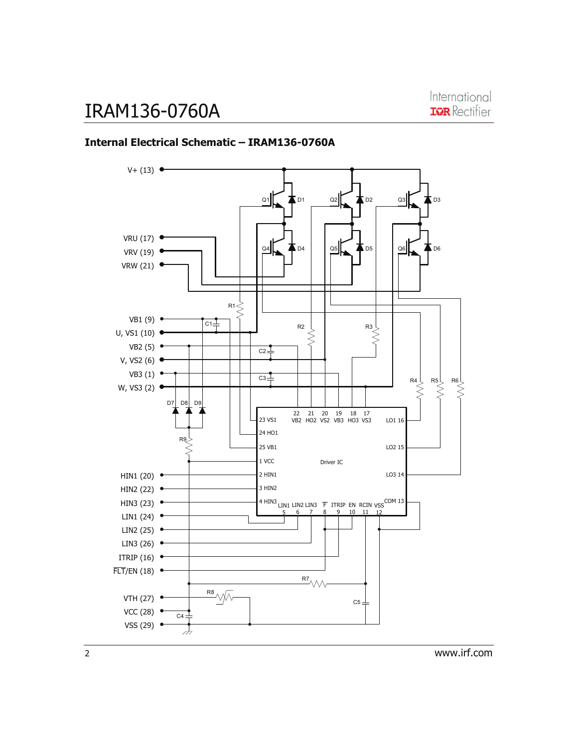

#### **Internal Electrical Schematic – IRAM136-0760A**

2 www.irf.com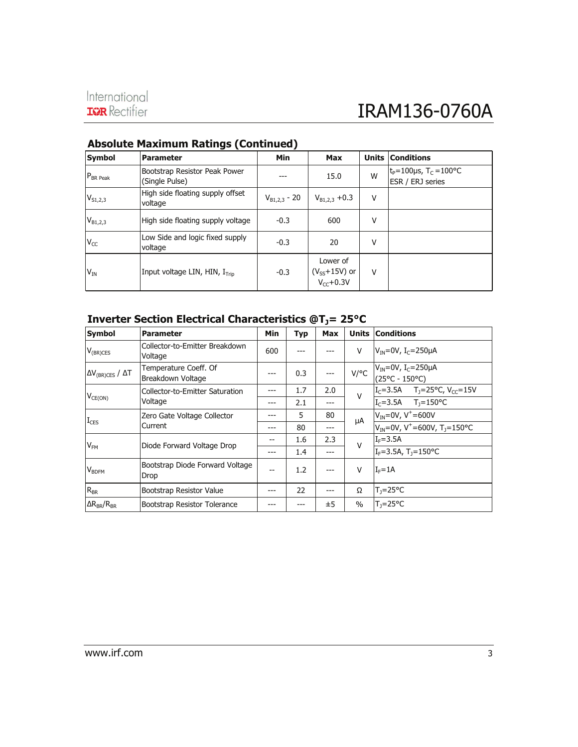# International<br> **IRAM136-0760A**

| Symbol         | <b>Parameter</b>                                | Min               | Max                                             | <b>Units</b> | <b>Conditions</b>                                              |
|----------------|-------------------------------------------------|-------------------|-------------------------------------------------|--------------|----------------------------------------------------------------|
| $P_{BR\,Peak}$ | Bootstrap Resistor Peak Power<br>(Single Pulse) |                   | 15.0                                            | W            | $t_P = 100 \mu s$ , T <sub>C</sub> = 100°C<br>ESR / ERJ series |
| $V_{S1,2,3}$   | High side floating supply offset<br>voltage     | $V_{B1,2,3}$ - 20 | $V_{B1,2,3}$ +0.3                               | v            |                                                                |
| $V_{B1,2,3}$   | High side floating supply voltage               | $-0.3$            | 600                                             | ٧            |                                                                |
| $V_{CC}$       | Low Side and logic fixed supply<br>voltage      | $-0.3$            | 20                                              | v            |                                                                |
| $V_{IN}$       | Input voltage LIN, HIN, $I_{\text{Trin}}$       | $-0.3$            | Lower of<br>$(V_{SS}+15V)$ or<br>$V_{cc}$ +0.3V | v            |                                                                |

#### **Absolute Maximum Ratings (Continued)**

#### **Inverter Section Electrical Characteristics @T<sub>J</sub>= 25°C**

| <b>Symbol</b>                     | <b>Parameter</b>                           | Min | <b>Typ</b> | Max | <b>Units</b> | <b>Conditions</b>                                                                                                                   |
|-----------------------------------|--------------------------------------------|-----|------------|-----|--------------|-------------------------------------------------------------------------------------------------------------------------------------|
| $V_{(BR)CES}$                     | Collector-to-Emitter Breakdown<br>Voltage  | 600 |            |     | $\vee$       | $VIN=0V$ , I <sub>C</sub> =250µA                                                                                                    |
| $\Delta V_{(BR)CES}$ / $\Delta T$ | Temperature Coeff. Of<br>Breakdown Voltage | --- | 0.3        | --- |              | V/°C $V_{\text{IN}} = 0V, I_{\text{C}} = 250\mu\text{A}$<br>(25°C - 150°C)                                                          |
|                                   | Collector-to-Emitter Saturation            |     | 1.7        | 2.0 | $\mathsf{V}$ | $\begin{array}{ccc} \n\boxed{I_C = 3.5A & T_J = 25^{\circ}C, V_{CC} = 15V} \\ \boxed{I_C = 3.5A & T_J = 150^{\circ}C}\n\end{array}$ |
| $V_{CE(ON)}$                      | Voltage                                    | --- | 2.1        | --- |              |                                                                                                                                     |
|                                   | Zero Gate Voltage Collector<br>Current     |     | 5          | 80  |              | $V_{IN} = 0V, V^+ = 600V$                                                                                                           |
| $I_{CES}$                         |                                            | --- | 80         | --- | μA           | $V_{IN} = 0V$ , V <sup>+</sup> =600V, T <sub>1</sub> =150°C                                                                         |
| $V_{FM}$                          | Diode Forward Voltage Drop                 |     | 1.6        | 2.3 | $\vee$       | $I_F = 3.5A$                                                                                                                        |
|                                   |                                            | --- | 1.4        | --- |              | $I_F = 3.5A$ , T <sub>1</sub> =150°C                                                                                                |
| <b>V</b> BDFM                     | Bootstrap Diode Forward Voltage<br>Drop    |     | 1.2        |     | $\vee$       | $I_F = 1A$                                                                                                                          |
| $ R_{BR}$                         | Bootstrap Resistor Value                   |     | 22         |     | Ω            | $T_1 = 25^{\circ}C$                                                                                                                 |
| $\Delta R_{RR}/R_{RR}$            | Bootstrap Resistor Tolerance               |     |            | ±5  | $\%$         | T <sub>1</sub> =25°C                                                                                                                |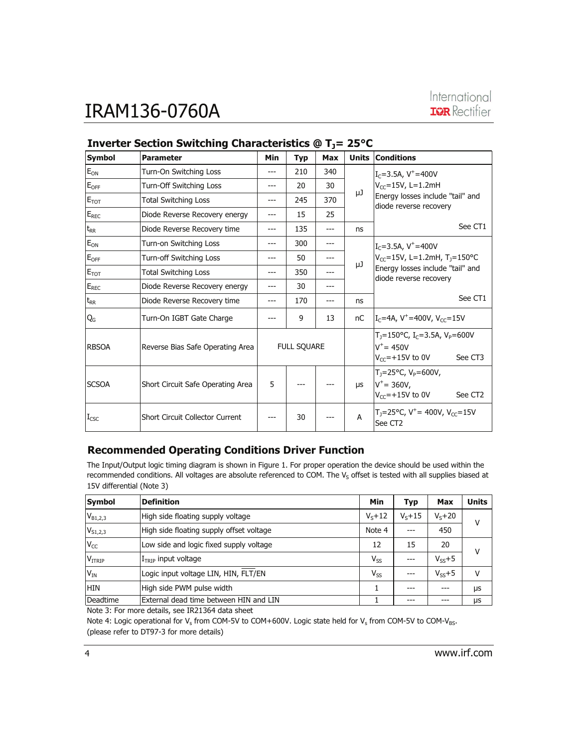| <b>Symbol</b>    | <b>Parameter</b>                       | Min | <b>Typ</b>         | <b>Max</b> |    | <b>Units Conditions</b>                                                                              |  |
|------------------|----------------------------------------|-----|--------------------|------------|----|------------------------------------------------------------------------------------------------------|--|
| $E_{ON}$         | Turn-On Switching Loss                 | --- | 210                | 340        |    | $I_C = 3.5A$ , $V^+ = 400V$                                                                          |  |
| $E_{OFF}$        | Turn-Off Switching Loss                | --- | 20                 | 30         |    | $V_{CC} = 15V$ , L=1.2mH                                                                             |  |
| $E_{TOT}$        | <b>Total Switching Loss</b>            | --- | 245                | 370        | μJ | Energy losses include "tail" and<br>diode reverse recovery                                           |  |
| $E_{REC}$        | Diode Reverse Recovery energy          | --- | 15                 | 25         |    |                                                                                                      |  |
| $t_{RR}$         | Diode Reverse Recovery time            | --- | 135                | ---        | ns | See CT1                                                                                              |  |
| $E_{ON}$         | Turn-on Switching Loss                 | --- | 300                | $---$      |    | $I_c = 3.5A$ , $V^+ = 400V$                                                                          |  |
| $E_{OFF}$        | Turn-off Switching Loss                |     | 50                 |            |    | $V_{CC}$ =15V, L=1.2mH, T <sub>J</sub> =150°C                                                        |  |
| $E_{TOT}$        | <b>Total Switching Loss</b>            | --- | 350                |            | μJ | Energy losses include "tail" and<br>diode reverse recovery                                           |  |
| $E_{REC}$        | Diode Reverse Recovery energy          | --- | 30                 |            |    |                                                                                                      |  |
| $t_{RR}$         | Diode Reverse Recovery time            | --- | 170                |            | ns | See CT1                                                                                              |  |
| Q <sub>G</sub>   | Turn-On IGBT Gate Charge               |     | 9                  | 13         | nC | $I_c = 4A$ , V <sup>+</sup> =400V, V <sub>cc</sub> =15V                                              |  |
| <b>RBSOA</b>     | Reverse Bias Safe Operating Area       |     | <b>FULL SQUARE</b> |            |    | $T_1 = 150$ °C, $I_C = 3.5$ A, $V_P = 600$ V<br>$V^+ = 450V$<br>$V_{CC}$ =+15V to 0V<br>See CT3      |  |
| <b>SCSOA</b>     | Short Circuit Safe Operating Area      | 5   |                    |            | μs | $T_1 = 25^{\circ}C$ , $V_p = 600V$ ,<br>$V^+ = 360V,$<br>$V_{cc}$ =+15V to 0V<br>See CT <sub>2</sub> |  |
| $I_{\text{CSC}}$ | <b>Short Circuit Collector Current</b> |     | 30                 |            | A  | T <sub>J</sub> =25°C, V <sup>+</sup> = 400V, V <sub>CC</sub> =15V<br>See CT2                         |  |

#### **Inverter Section Switching Characteristics @ T<sub>1</sub>= 25°C**

#### **Recommended Operating Conditions Driver Function**

The Input/Output logic timing diagram is shown in Figure 1. For proper operation the device should be used within the recommended conditions. All voltages are absolute referenced to COM. The  $V_S$  offset is tested with all supplies biased at 15V differential (Note 3)

| Symbol        | <b>Definition</b>                        | Min        | Typ          | Max          | <b>Units</b> |
|---------------|------------------------------------------|------------|--------------|--------------|--------------|
| $V_{B1,2,3}$  | High side floating supply voltage        | $V_c + 12$ | $V_{s} + 15$ | $V_{S} + 20$ | v            |
| $V_{S1,2,3}$  | High side floating supply offset voltage | Note 4     |              | 450          |              |
| $V_{CC}$      | Low side and logic fixed supply voltage  | 12         | 15           | 20           | v            |
| <b>VITRIP</b> | $ITRIP$ input voltage                    | $V_{SS}$   | ---          | $V_{ss}+5$   |              |
| $V_{IN}$      | Logic input voltage LIN, HIN, FLT/EN     | $V_{SS}$   | $---$        | $V_{ss}+5$   | v            |
| <b>HIN</b>    | High side PWM pulse width                |            |              |              | μs           |
| Deadtime      | External dead time between HIN and LIN   |            | ---          |              | μs           |

Note 3: For more details, see IR21364 data sheet

Note 4: Logic operational for V<sub>s</sub> from COM-5V to COM+600V. Logic state held for V<sub>s</sub> from COM-5V to COM-V<sub>BS</sub>. (please refer to DT97-3 for more details)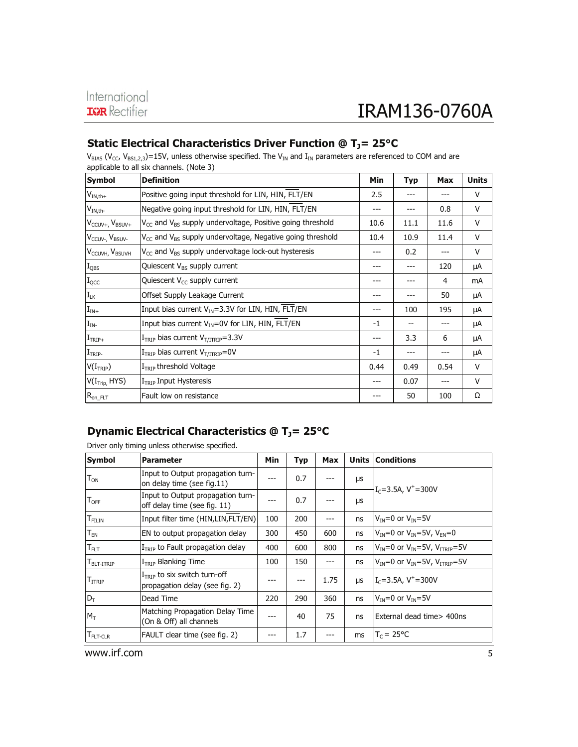| applicable to all six channels. (Note 3) |                                                                                   |      |            |            |              |  |
|------------------------------------------|-----------------------------------------------------------------------------------|------|------------|------------|--------------|--|
| <b>Symbol</b>                            | <b>Definition</b>                                                                 | Min  | <b>Typ</b> | <b>Max</b> | <b>Units</b> |  |
| $V_{IN,th+}$                             | Positive going input threshold for LIN, HIN, FLT/EN                               | 2.5  |            |            | V            |  |
| $V_{IN,th}$                              | Negative going input threshold for LIN, HIN, FLT/EN                               | ---  |            | 0.8        | V            |  |
| $V_{CCUV+}$ , $V_{BSUV+}$                | $V_{CC}$ and $V_{BS}$ supply undervoltage, Positive going threshold               | 10.6 | 11.1       | 11.6       | V            |  |
| V <sub>CCUV</sub> -, V <sub>BSUV</sub> - | V <sub>CC</sub> and V <sub>BS</sub> supply undervoltage, Negative going threshold | 10.4 | 10.9       | 11.4       | V            |  |
| V <sub>CCUVH</sub> , V <sub>BSUVH</sub>  | $V_{CC}$ and $V_{BS}$ supply undervoltage lock-out hysteresis                     | ---  | 0.2        |            | V            |  |
| $I_{\text{QBS}}$                         | Quiescent V <sub>BS</sub> supply current                                          | ---  | ---        | 120        | μA           |  |
| $I_{\text{QCC}}$                         | Quiescent V <sub>cc</sub> supply current                                          | ---  |            | 4          | mA           |  |
| $I_{LK}$                                 | Offset Supply Leakage Current                                                     | ---  |            | 50         | μA           |  |
| $\mathbf{I}_{\text{IN}+}$                | Input bias current $V_{\text{IN}} = 3.3V$ for LIN, HIN, FLT/EN                    |      | 100        | 195        | μA           |  |
| $I_{IN}$                                 | Input bias current $V_{IN} = 0V$ for LIN, HIN, FLT/EN                             | $-1$ | --         |            | μA           |  |
| $ITRIP+$                                 | $ITRIP$ bias current $VT/ITRIP=3.3V$                                              | ---  | 3.3        | 6          | μA           |  |
| $ITRIP-$                                 | $ITRIP$ bias current $VT/ITRIP=0V$                                                | $-1$ | ---        |            | μA           |  |
| V(I <sub>TRIP</sub> )                    | $ITRIP$ threshold Voltage                                                         | 0.44 | 0.49       | 0.54       | $\vee$       |  |
| V(I <sub>Tip</sub> , HYS)                | $ITRIP$ Input Hysteresis                                                          | ---  | 0.07       | ---        | V            |  |
| $R_{on\_FLT}$                            | Fault low on resistance                                                           | ---  | 50         | 100        | Ω            |  |

#### Static Electrical Characteristics Driver Function @ T<sub>J</sub>= 25°C

 $V_{BIAS}$  (V<sub>CC</sub>, V<sub>BS1,2,3</sub>)=15V, unless otherwise specified. The V<sub>IN</sub> and I<sub>IN</sub> parameters are referenced to COM and are

#### **Dynamic Electrical Characteristics @ T<sub>J</sub>= 25°C**

Driver only timing unless otherwise specified.

| Symbol                      | <b>Parameter</b>                                                  | Min | <b>Typ</b> | <b>Max</b> |            | <b>Units Conditions</b>                                         |  |
|-----------------------------|-------------------------------------------------------------------|-----|------------|------------|------------|-----------------------------------------------------------------|--|
| $\mathsf{T}_\mathsf{ON}$    | Input to Output propagation turn-<br>on delay time (see fig.11)   |     | 0.7        |            | μs         | $I_c = 3.5$ A, V <sup>+</sup> =300V                             |  |
| $\mathsf{T}_{\mathsf{OFF}}$ | Input to Output propagation turn-<br>off delay time (see fig. 11) | --- | 0.7        |            | μs         |                                                                 |  |
| $T_{\rm FILIN}$             | Input filter time (HIN, LIN, FLT/EN)                              | 100 | 200        | ---        | ns         | $VIN=0$ or $VIN=5V$                                             |  |
| $\mathsf{T}_{\mathsf{EN}}$  | EN to output propagation delay                                    | 300 | 450        | 600        | ns         | $V_{IN} = 0$ or $V_{IN} = 5V$ , $V_{EN} = 0$                    |  |
| $\mathsf{T}_{\mathsf{FLT}}$ | $ITRIP$ to Fault propagation delay                                | 400 | 600        | 800        | ns         | $V_{IN}$ =0 or $V_{IN}$ =5V, $V_{ITRIP}$ =5V                    |  |
| $TBLT-ITRIP$                | $ITRIP$ Blanking Time                                             | 100 | 150        | $---$      | ns         | $V_{\text{IN}}=0$ or $V_{\text{IN}}=5V$ , $V_{\text{ITRIP}}=5V$ |  |
| $\mathsf{T}_{\text{ITRIP}}$ | $ITRIP$ to six switch turn-off<br>propagation delay (see fig. 2)  |     | ---        | 1.75       | <b>LIS</b> | $I_c = 3.5A$ , V <sup>+</sup> $= 300V$                          |  |
| $D_T$                       | Dead Time                                                         | 220 | 290        | 360        | ns         | $VIN=0$ or $VIN=5V$                                             |  |
| $M_{\tau}$                  | Matching Propagation Delay Time<br>(On & Off) all channels        | --- | 40         | 75         | ns         | External dead time> 400ns                                       |  |
| FLT-CLR                     | FAULT clear time (see fig. 2)                                     |     | 1.7        |            | ms         | $T_c = 25^{\circ}C$                                             |  |

www.irf.com 5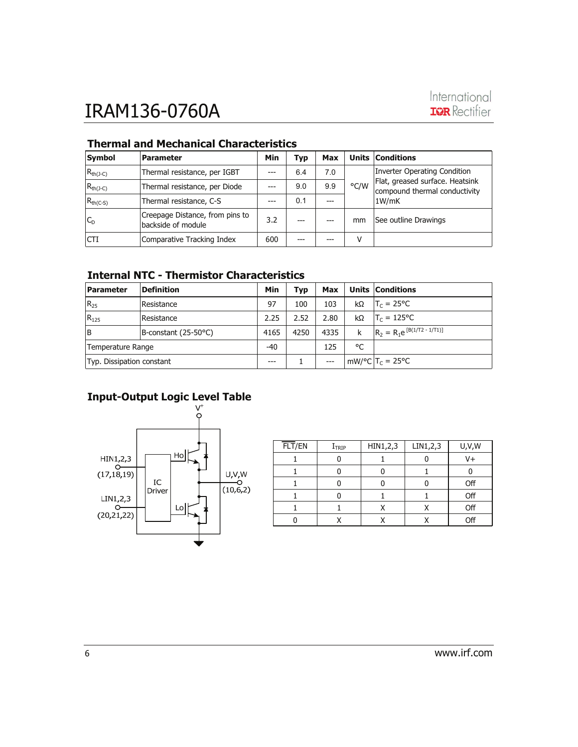| Symbol        | <b>Parameter</b>                                      | Min | Typ | Max |      | <b>Units Conditions</b>                                                   |  |
|---------------|-------------------------------------------------------|-----|-----|-----|------|---------------------------------------------------------------------------|--|
| $R_{th(J-C)}$ | Thermal resistance, per IGBT                          |     | 6.4 | 7.0 |      | Inverter Operating Condition                                              |  |
| $R_{th(J-C)}$ | Thermal resistance, per Diode                         |     | 9.0 | 9.9 | °C/W | Flat, greased surface. Heatsink<br>compound thermal conductivity<br>1W/mK |  |
| $R_{th(C-S)}$ | Thermal resistance, C-S                               |     | 0.1 |     |      |                                                                           |  |
| $ C_{D}$      | Creepage Distance, from pins to<br>backside of module | 3.2 |     |     | mm   | See outline Drawings                                                      |  |
| <b>ICTI</b>   | Comparative Tracking Index                            | 600 | --- |     | ٧    |                                                                           |  |

#### **Thermal and Mechanical Characteristics**

#### **Internal NTC - Thermistor Characteristics**

| <b>Parameter</b>          | <b>Definition</b>         | Min   | Typ  | Max   |    | <b>Units Conditions</b>          |
|---------------------------|---------------------------|-------|------|-------|----|----------------------------------|
| $ R_{25}$                 | <i><b>IResistance</b></i> | 97    | 100  | 103   | kΩ | $T_c = 25^{\circ}C$              |
| $R_{125}$                 | <i><b>IResistance</b></i> | 2.25  | 2.52 | 2.80  | kΩ | $T_c = 125^{\circ}C$             |
| lΒ                        | B-constant (25-50°C)      | 4165  | 4250 | 4335  | k  | $R_2 = R_1 e^{[B(1/T2 - 1/T1)]}$ |
| Temperature Range         |                           | $-40$ |      | 125   | °C |                                  |
| Typ. Dissipation constant |                           | ---   |      | $---$ |    | $mW$ /°C $ T_c = 25$ °C          |

#### **Input-Output Logic Level Table**



| $\overline{FLT}/EN$ | $I_{TRIP}$ | HIN1,2,3 | LIN1,2,3 | U, V, W |
|---------------------|------------|----------|----------|---------|
|                     |            |          |          | V+      |
|                     |            |          |          |         |
|                     |            |          |          | Off     |
|                     |            |          |          | Off     |
|                     |            |          | x        | Off     |
|                     |            |          |          | Off     |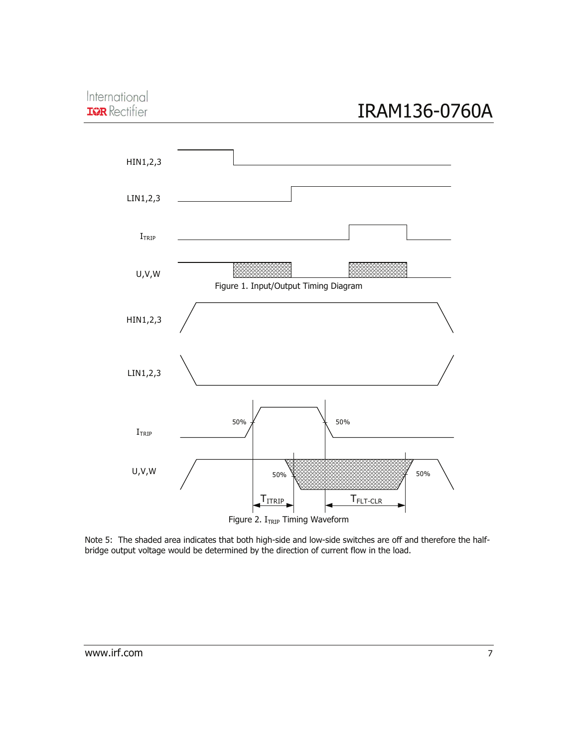#### International **IGR** Rectifier

# IRAM136-0760A



Note 5: The shaded area indicates that both high-side and low-side switches are off and therefore the halfbridge output voltage would be determined by the direction of current flow in the load.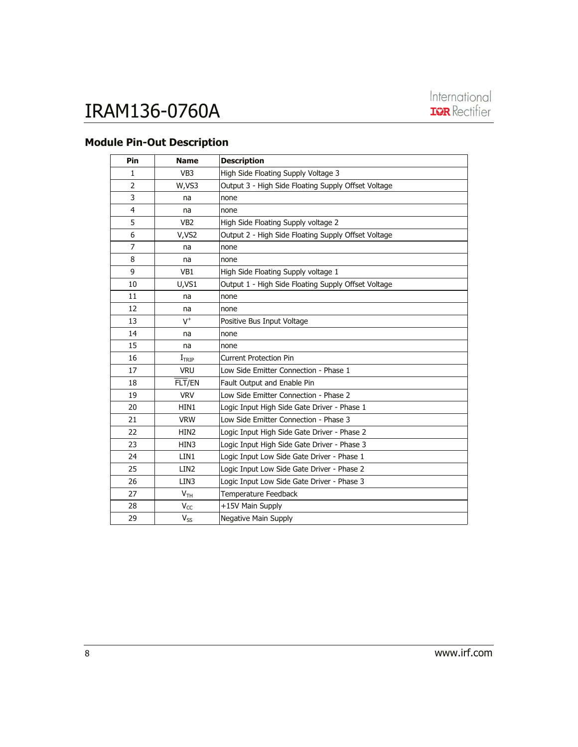#### **Module Pin-Out Description**

| Pin            | <b>Name</b>                | <b>Description</b>                                  |
|----------------|----------------------------|-----------------------------------------------------|
| 1              | VB <sub>3</sub>            | High Side Floating Supply Voltage 3                 |
| 2              | W,VS3                      | Output 3 - High Side Floating Supply Offset Voltage |
| 3              | na                         | none                                                |
| 4              | na                         | none                                                |
| 5              | VB <sub>2</sub>            | High Side Floating Supply voltage 2                 |
| 6              | V,VS2                      | Output 2 - High Side Floating Supply Offset Voltage |
| $\overline{7}$ | na                         | none                                                |
| 8              | na                         | none                                                |
| 9              | VB1                        | High Side Floating Supply voltage 1                 |
| 10             | U,VS1                      | Output 1 - High Side Floating Supply Offset Voltage |
| 11             | na                         | none                                                |
| 12             | na                         | none                                                |
| 13             | $V^+$                      | Positive Bus Input Voltage                          |
| 14             | na                         | none                                                |
| 15             | na                         | none                                                |
| 16             | I <sub>TRIP</sub>          | <b>Current Protection Pin</b>                       |
| 17             | <b>VRU</b>                 | Low Side Emitter Connection - Phase 1               |
| 18             | FLT/EN                     | Fault Output and Enable Pin                         |
| 19             | <b>VRV</b>                 | Low Side Emitter Connection - Phase 2               |
| 20             | HIN1                       | Logic Input High Side Gate Driver - Phase 1         |
| 21             | <b>VRW</b>                 | Low Side Emitter Connection - Phase 3               |
| 22             | HIN <sub>2</sub>           | Logic Input High Side Gate Driver - Phase 2         |
| 23             | HIN3                       | Logic Input High Side Gate Driver - Phase 3         |
| 24             | LIN1                       | Logic Input Low Side Gate Driver - Phase 1          |
| 25             | LIN <sub>2</sub>           | Logic Input Low Side Gate Driver - Phase 2          |
| 26             | LIN3                       | Logic Input Low Side Gate Driver - Phase 3          |
| 27             | V <sub>TH</sub>            | Temperature Feedback                                |
| 28             | $V_{CC}$                   | +15V Main Supply                                    |
| 29             | $\mathsf{V}_{\mathsf{SS}}$ | Negative Main Supply                                |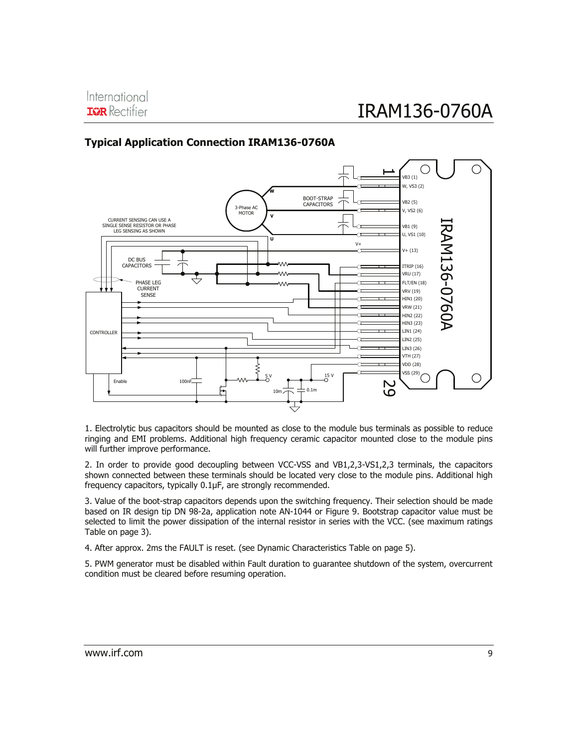#### **Typical Application Connection IRAM136-0760A**



1. Electrolytic bus capacitors should be mounted as close to the module bus terminals as possible to reduce ringing and EMI problems. Additional high frequency ceramic capacitor mounted close to the module pins will further improve performance.

2. In order to provide good decoupling between VCC-VSS and VB1,2,3-VS1,2,3 terminals, the capacitors shown connected between these terminals should be located very close to the module pins. Additional high frequency capacitors, typically 0.1μF, are strongly recommended.

3. Value of the boot-strap capacitors depends upon the switching frequency. Their selection should be made based on IR design tip DN 98-2a, application note AN-1044 or Figure 9. Bootstrap capacitor value must be selected to limit the power dissipation of the internal resistor in series with the VCC. (see maximum ratings Table on page 3).

4. After approx. 2ms the FAULT is reset. (see Dynamic Characteristics Table on page 5).

5. PWM generator must be disabled within Fault duration to guarantee shutdown of the system, overcurrent condition must be cleared before resuming operation.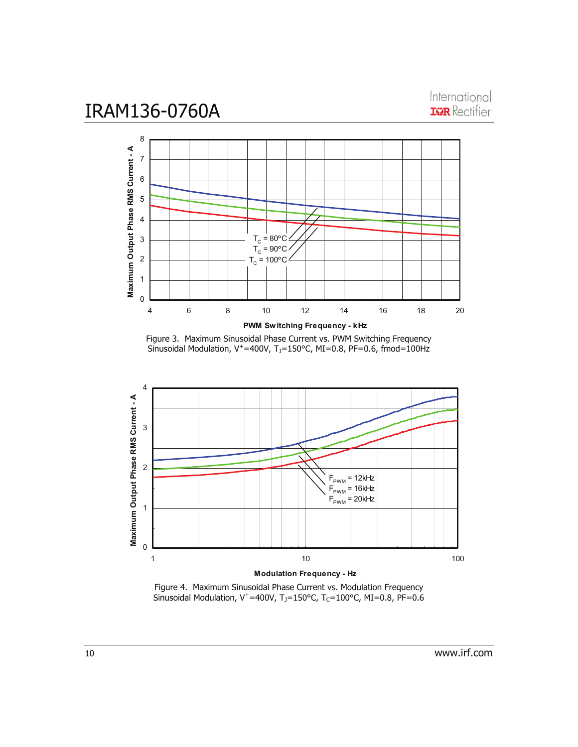International **IQR** Rectifier



Figure 3. Maximum Sinusoidal Phase Current vs. PWM Switching Frequency Sinusoidal Modulation,  $V^+=400V$ , T<sub>J</sub>=150°C, MI=0.8, PF=0.6, fmod=100Hz



Figure 4. Maximum Sinusoidal Phase Current vs. Modulation Frequency Sinusoidal Modulation, V<sup>+</sup>=400V, T<sub>J</sub>=150°C, T<sub>C</sub>=100°C, MI=0.8, PF=0.6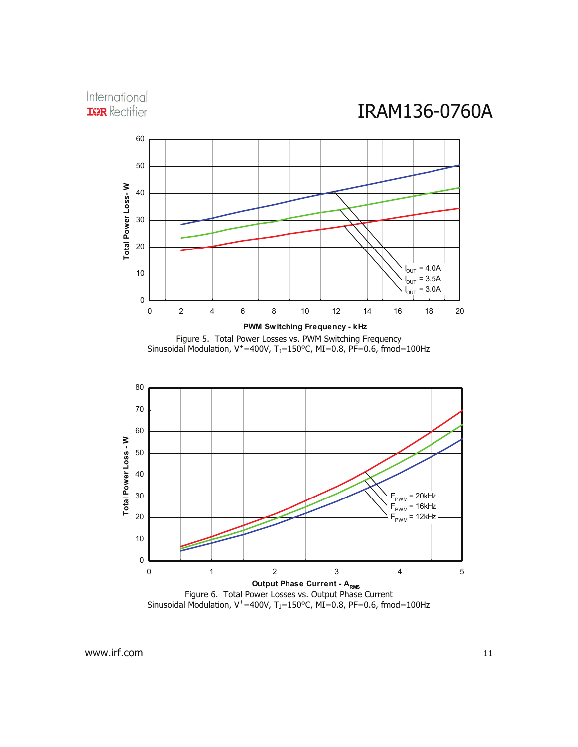#### International **IGR** Rectifier



Figure 5. Total Power Losses vs. PWM Switching Frequency Sinusoidal Modulation,  $V^+=400V$ ,  $T_0=150^{\circ}$ C, MI=0.8, PF=0.6, fmod=100Hz



Sinusoidal Modulation,  $V^+=400V$ ,  $T_1=150^{\circ}$ C,  $MI=0.8$ , PF=0.6, fmod=100Hz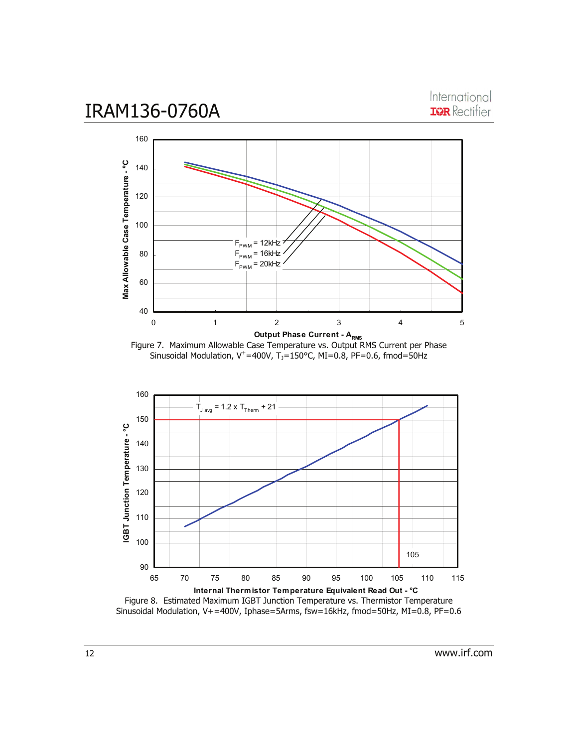

International **IQR** Rectifier







Figure 8. Estimated Maximum IGBT Junction Temperature vs. Thermistor Temperature Sinusoidal Modulation, V+=400V, Iphase=5Arms, fsw=16kHz, fmod=50Hz, MI=0.8, PF=0.6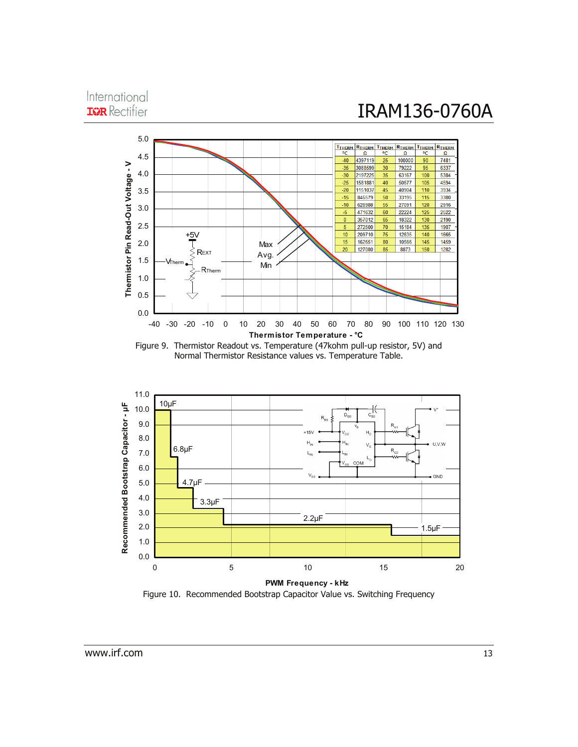#### International **IQR** Rectifier



Figure 9. Thermistor Readout vs. Temperature (47kohm pull-up resistor, 5V) and Normal Thermistor Resistance values vs. Temperature Table.



Figure 10. Recommended Bootstrap Capacitor Value vs. Switching Frequency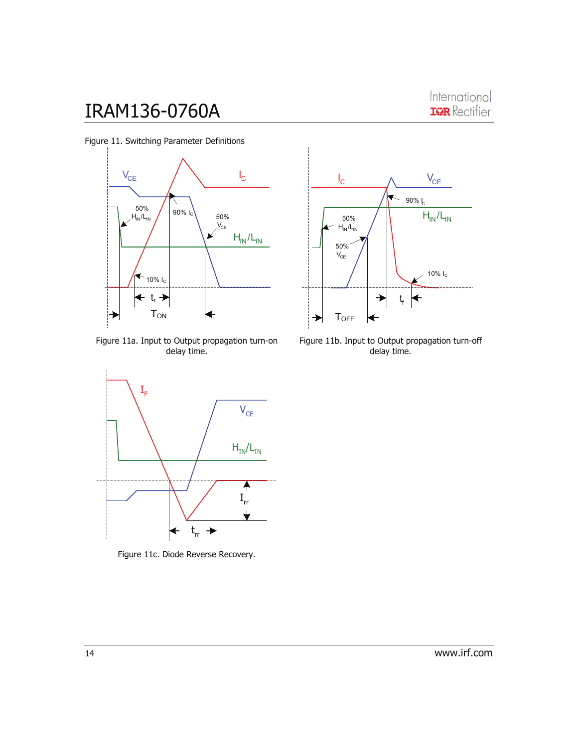

Figure 11a. Input to Output propagation turn-on delay time.



Figure 11c. Diode Reverse Recovery.



Figure 11b. Input to Output propagation turn-off delay time.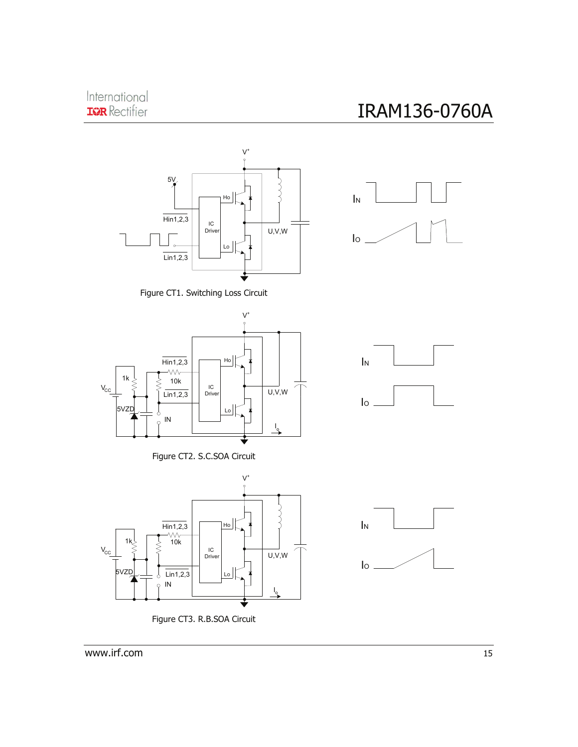



IN

Figure CT1. Switching Loss Circuit











www.irf.com 15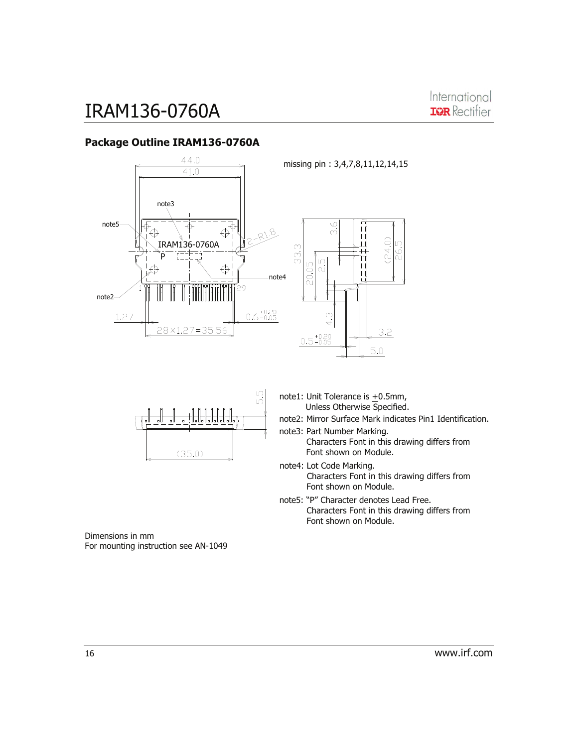

#### **Package Outline IRAM136-0760A**



 $\sqrt{2}$ IŃ  $(35.0)$ 

note1: Unit Tolerance is +0.5mm, Unless Otherwise Specified.

note2: Mirror Surface Mark indicates Pin1 Identification.

note3: Part Number Marking.

- Characters Font in this drawing differs from Font shown on Module.
- note4: Lot Code Marking. Characters Font in this drawing differs from Font shown on Module.
- note5: "P" Character denotes Lead Free. Characters Font in this drawing differs from Font shown on Module.

Dimensions in mm For mounting instruction see AN-1049